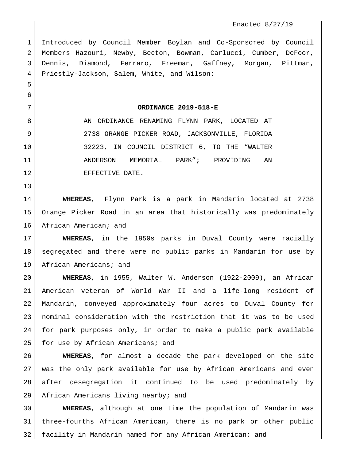Introduced by Council Member Boylan and Co-Sponsored by Council Members Hazouri, Newby, Becton, Bowman, Carlucci, Cumber, DeFoor, Dennis, Diamond, Ferraro, Freeman, Gaffney, Morgan, Pittman, Priestly-Jackson, Salem, White, and Wilson:

**ORDINANCE 2019-518-E**

8 AN ORDINANCE RENAMING FLYNN PARK, LOCATED AT 2738 ORANGE PICKER ROAD, JACKSONVILLE, FLORIDA 32223, IN COUNCIL DISTRICT 6, TO THE "WALTER ANDERSON MEMORIAL PARK"; PROVIDING AN 12 EFFECTIVE DATE.

 

 **WHEREAS**, Flynn Park is a park in Mandarin located at 2738 Orange Picker Road in an area that historically was predominately 16 African American; and

 **WHEREAS**, in the 1950s parks in Duval County were racially segregated and there were no public parks in Mandarin for use by 19 African Americans; and

 **WHEREAS**, in 1955, Walter W. Anderson (1922-2009), an African American veteran of World War II and a life-long resident of Mandarin, conveyed approximately four acres to Duval County for nominal consideration with the restriction that it was to be used for park purposes only, in order to make a public park available 25 for use by African Americans; and

 **WHEREAS,** for almost a decade the park developed on the site was the only park available for use by African Americans and even after desegregation it continued to be used predominately by 29 African Americans living nearby; and

 **WHEREAS**, although at one time the population of Mandarin was three-fourths African American, there is no park or other public facility in Mandarin named for any African American; and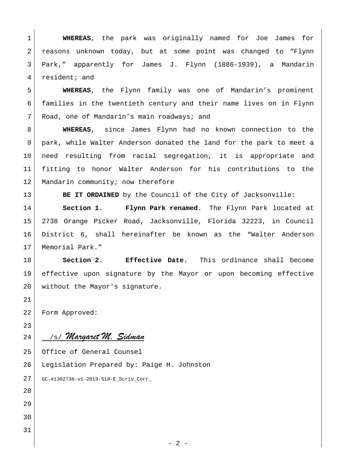**WHEREAS**, the park was originally named for Joe James for reasons unknown today, but at some point was changed to "Flynn Park," apparently for James J. Flynn (1886-1939), a Mandarin 4 resident; and

 **WHEREAS**, the Flynn family was one of Mandarin's prominent families in the twentieth century and their name lives on in Flynn 7 Road, one of Mandarin's main roadways; and

 **WHEREAS**, since James Flynn had no known connection to the park, while Walter Anderson donated the land for the park to meet a need resulting from racial segregation, it is appropriate and fitting to honor Walter Anderson for his contributions to the 12 Mandarin community; now therefore

**BE IT ORDAINED** by the Council of the City of Jacksonville:

 **Section 1. Flynn Park renamed**. The Flynn Park located at 2738 Orange Picker Road, Jacksonville, Florida 32223, in Council District 6, shall hereinafter be known as the "Walter Anderson 17 | Memorial Park."

 **Section 2. Effective Date.** This ordinance shall become effective upon signature by the Mayor or upon becoming effective 20 without the Mayor's signature.

Form Approved:

## 24 /s/ *Margaret M. Sidman*

Office of General Counsel

Legislation Prepared by: Paige H. Johnston **401-**

GC-#1302736-v1-2019-518-E\_Scriv\_Corr\_